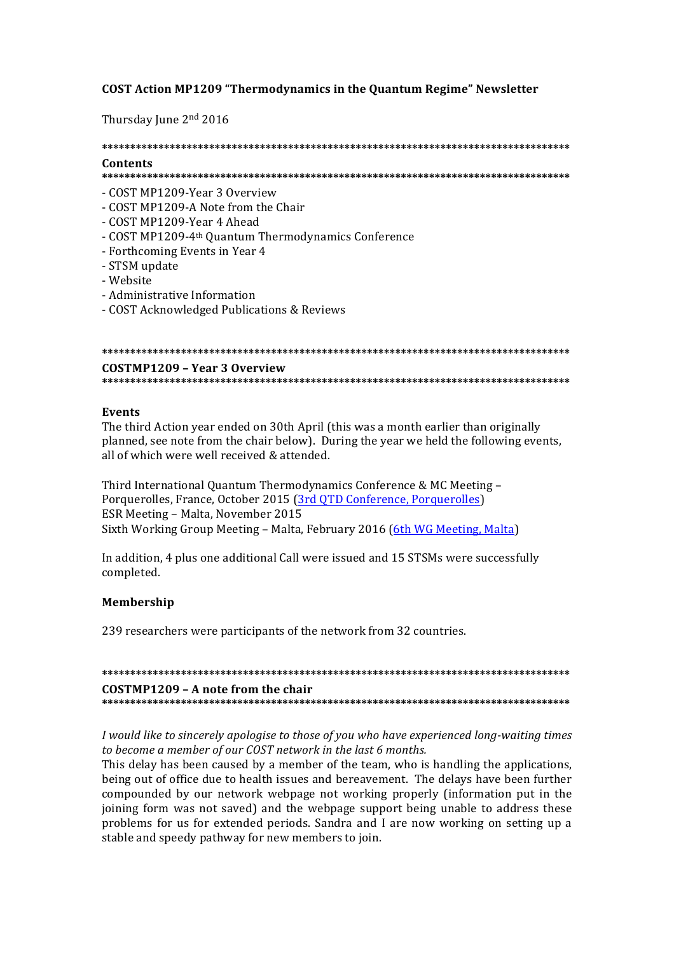## **COST Action MP1209 "Thermodynamics in the Quantum Regime" Newsletter**

Thursday June 2nd 2016

# **\*\*\*\*\*\*\*\*\*\*\*\*\*\*\*\*\*\*\*\*\*\*\*\*\*\*\*\*\*\*\*\*\*\*\*\*\*\*\*\*\*\*\*\*\*\*\*\*\*\*\*\*\*\*\*\*\*\*\*\*\*\*\*\*\*\*\*\*\*\*\*\*\*\*\*\*\*\*\*\*\*\*\* Contents**

## **\*\*\*\*\*\*\*\*\*\*\*\*\*\*\*\*\*\*\*\*\*\*\*\*\*\*\*\*\*\*\*\*\*\*\*\*\*\*\*\*\*\*\*\*\*\*\*\*\*\*\*\*\*\*\*\*\*\*\*\*\*\*\*\*\*\*\*\*\*\*\*\*\*\*\*\*\*\*\*\*\*\*\***

- COST MP1209-Year 3 Overview
- COST MP1209-A Note from the Chair
- COST MP1209-Year 4 Ahead
- COST MP1209-4<sup>th</sup> Quantum Thermodynamics Conference
- Forthcoming Events in Year 4
- STSM update
- Website
- Administrative Information
- COST Acknowledged Publications & Reviews

#### **COSTMP1209 – Year 3 Overview**

**\*\*\*\*\*\*\*\*\*\*\*\*\*\*\*\*\*\*\*\*\*\*\*\*\*\*\*\*\*\*\*\*\*\*\*\*\*\*\*\*\*\*\*\*\*\*\*\*\*\*\*\*\*\*\*\*\*\*\*\*\*\*\*\*\*\*\*\*\*\*\*\*\*\*\*\*\*\*\*\*\*\*\***

#### **Events**

The third Action year ended on 30th April (this was a month earlier than originally planned, see note from the chair below). During the year we held the following events, all of which were well received & attended

Third International Quantum Thermodynamics Conference & MC Meeting -Porquerolles, France, October 2015 (3rd OTD Conference, Porquerolles) ESR Meeting - Malta, November 2015 Sixth Working Group Meeting – Malta, February 2016 (6th WG Meeting, Malta)

In addition, 4 plus one additional Call were issued and 15 STSMs were successfully completed.

### **Membership**

239 researchers were participants of the network from 32 countries.

**\*\*\*\*\*\*\*\*\*\*\*\*\*\*\*\*\*\*\*\*\*\*\*\*\*\*\*\*\*\*\*\*\*\*\*\*\*\*\*\*\*\*\*\*\*\*\*\*\*\*\*\*\*\*\*\*\*\*\*\*\*\*\*\*\*\*\*\*\*\*\*\*\*\*\*\*\*\*\*\*\*\*\* COSTMP1209 – A note from the chair \*\*\*\*\*\*\*\*\*\*\*\*\*\*\*\*\*\*\*\*\*\*\*\*\*\*\*\*\*\*\*\*\*\*\*\*\*\*\*\*\*\*\*\*\*\*\*\*\*\*\*\*\*\*\*\*\*\*\*\*\*\*\*\*\*\*\*\*\*\*\*\*\*\*\*\*\*\*\*\*\*\*\***

*I* would like to sincerely apologise to those of you who have experienced long-waiting times to become a member of our COST network in the last 6 months.

This delay has been caused by a member of the team, who is handling the applications, being out of office due to health issues and bereavement. The delays have been further compounded by our network webpage not working properly (information put in the joining form was not saved) and the webpage support being unable to address these problems for us for extended periods. Sandra and I are now working on setting up a stable and speedy pathway for new members to join.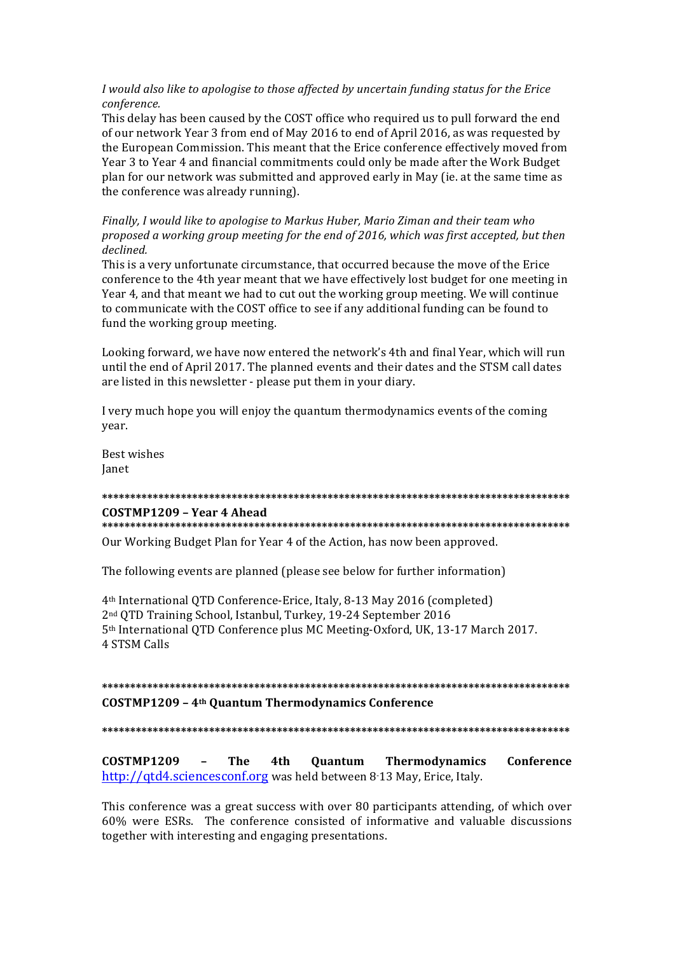I would also like to apologise to those affected by uncertain funding status for the Erice conference.

This delay has been caused by the COST office who required us to pull forward the end of our network Year 3 from end of May 2016 to end of April 2016, as was requested by the European Commission. This meant that the Erice conference effectively moved from Year 3 to Year 4 and financial commitments could only be made after the Work Budget plan for our network was submitted and approved early in May (ie. at the same time as the conference was already running).

Finally, I would like to apologise to Markus Huber, Mario Ziman and their team who proposed a working group meeting for the end of 2016, which was first accepted, but then declined.

This is a very unfortunate circumstance, that occurred because the move of the Erice conference to the 4th year meant that we have effectively lost budget for one meeting in Year 4, and that meant we had to cut out the working group meeting. We will continue to communicate with the COST office to see if any additional funding can be found to fund the working group meeting.

Looking forward, we have now entered the network's 4th and final Year, which will run until the end of April 2017. The planned events and their dates and the STSM call dates are listed in this newsletter - please put them in your diary.

I very much hope you will enjoy the quantum thermodynamics events of the coming year.

Best wishes **Ianet** 

#### COSTMP1209 - Year 4 Ahead

Our Working Budget Plan for Year 4 of the Action, has now been approved.

The following events are planned (please see below for further information)

4<sup>th</sup> International QTD Conference-Erice, Italy, 8-13 May 2016 (completed) 2<sup>nd</sup> QTD Training School, Istanbul, Turkey, 19-24 September 2016 5th International QTD Conference plus MC Meeting-Oxford, UK, 13-17 March 2017. **4 STSM Calls** 

# **COSTMP1209 - 4th Quantum Thermodynamics Conference**

**COSTMP1209** The 4th Quantum Thermodynamics Conference http://gtd4.sciencesconf.org was held between 8.13 May. Erice. Italy.

This conference was a great success with over 80 participants attending, of which over 60% were ESRs. The conference consisted of informative and valuable discussions together with interesting and engaging presentations.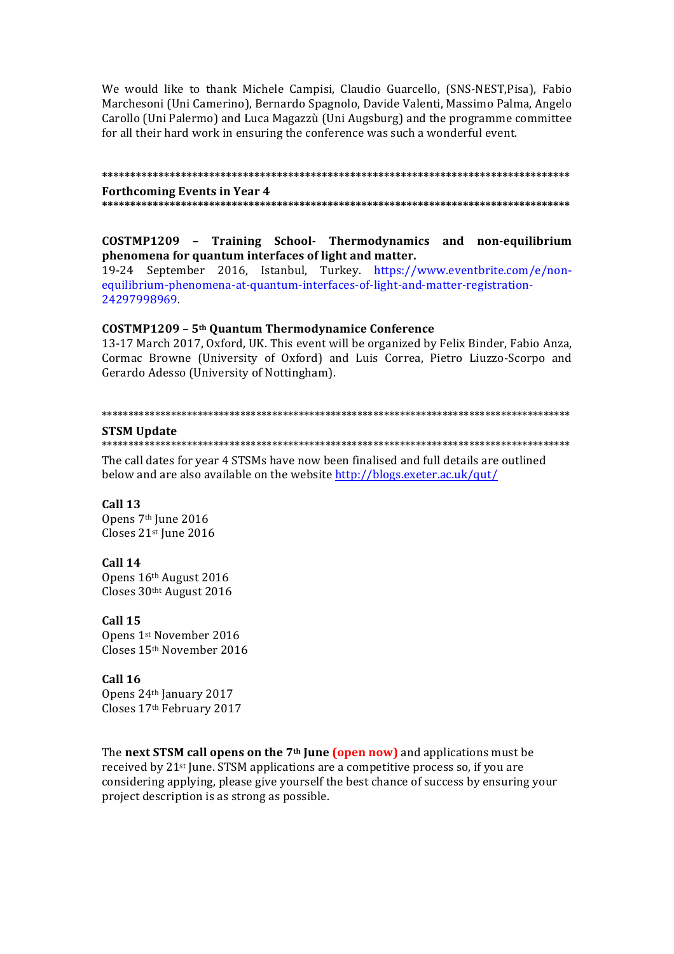We would like to thank Michele Campisi, Claudio Guarcello, (SNS-NEST, Pisa), Fabio Marchesoni (Uni Camerino), Bernardo Spagnolo, Davide Valenti, Massimo Palma, Angelo Carollo (Uni Palermo) and Luca Magazzù (Uni Augsburg) and the programme committee for all their hard work in ensuring the conference was such a wonderful event.

## **\*\*\*\*\*\*\*\*\*\*\*\*\*\*\*\*\*\*\*\*\*\*\*\*\*\*\*\*\*\*\*\*\*\*\*\*\*\*\*\*\*\*\*\*\*\*\*\*\*\*\*\*\*\*\*\*\*\*\*\*\*\*\*\*\*\*\*\*\*\*\*\*\*\*\*\*\*\*\*\*\*\*\* Forthcoming Events in Year 4 \*\*\*\*\*\*\*\*\*\*\*\*\*\*\*\*\*\*\*\*\*\*\*\*\*\*\*\*\*\*\*\*\*\*\*\*\*\*\*\*\*\*\*\*\*\*\*\*\*\*\*\*\*\*\*\*\*\*\*\*\*\*\*\*\*\*\*\*\*\*\*\*\*\*\*\*\*\*\*\*\*\*\***

## **COSTMP1209 – Training School- Thermodynamics and non-equilibrium**  phenomena for quantum interfaces of light and matter.

19-24 September 2016, Istanbul, Turkey. https://www.eventbrite.com/e/nonequilibrium-phenomena-at-quantum-interfaces-of-light-and-matter-registration-24297998969.

## **COSTMP1209 – 5th Quantum Thermodynamice Conference**

13-17 March 2017, Oxford, UK. This event will be organized by Felix Binder, Fabio Anza, Cormac Browne (University of Oxford) and Luis Correa, Pietro Liuzzo-Scorpo and Gerardo Adesso (University of Nottingham).

#### \*\*\*\*\*\*\*\*\*\*\*\*\*\*\*\*\*\*\*\*\*\*\*\*\*\*\*\*\*\*\*\*\*\*\*\*\*\*\*\*\*\*\*\*\*\*\*\*\*\*\*\*\*\*\*\*\*\*\*\*\*\*\*\*\*\*\*\*\*\*\*\*\*\*\*\*\*\*\*\*\*\*\*\*\*\*\*\*

#### **STSM Update**

#### \*\*\*\*\*\*\*\*\*\*\*\*\*\*\*\*\*\*\*\*\*\*\*\*\*\*\*\*\*\*\*\*\*\*\*\*\*\*\*\*\*\*\*\*\*\*\*\*\*\*\*\*\*\*\*\*\*\*\*\*\*\*\*\*\*\*\*\*\*\*\*\*\*\*\*\*\*\*\*\*\*\*\*\*\*\*\*\*

The call dates for year 4 STSMs have now been finalised and full details are outlined below and are also available on the website http://blogs.exeter.ac.uk/qut/

# **Call 13**

Opens 7th June 2016 Closes 21st June 2016

### **Call 14**

Opens 16th August 2016 Closes 30tht August 2016

### **Call 15**

Opens 1st November 2016 Closes 15th November 2016

## **Call 16**

Opens 24th January 2017 Closes 17th February 2017

The **next STSM call opens on the 7<sup>th</sup> June (open now)** and applications must be received by  $21^{st}$  June. STSM applications are a competitive process so, if you are considering applying, please give yourself the best chance of success by ensuring your project description is as strong as possible.